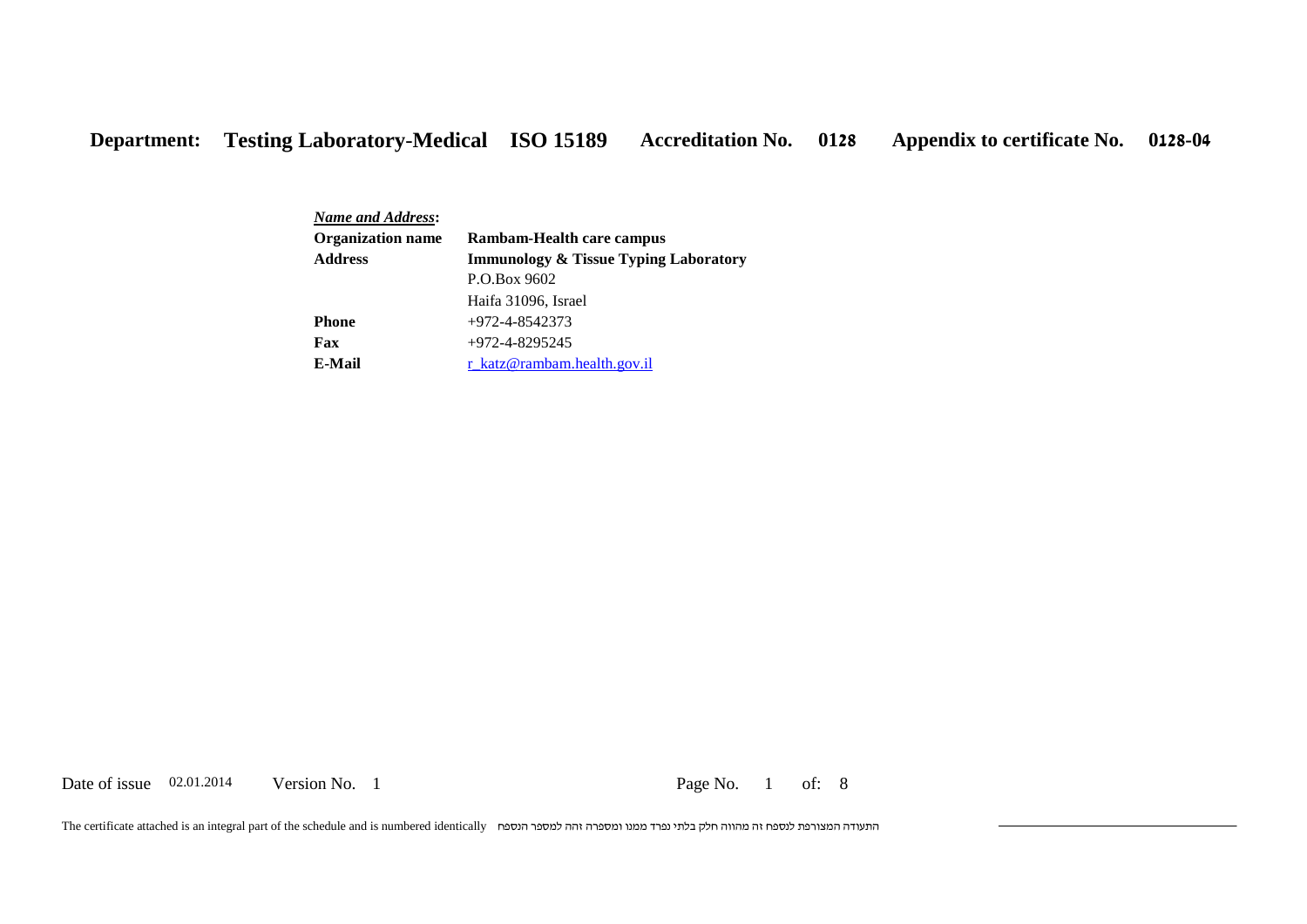*Name and Address***: Rambam-Health care campus Immunology & Tissue Typing Laboratory** P.O.Box 9602 Haifa 31096, Israel **Organization name Address Phone**  $+972-4-8542373$ **Fax** +972-4-8295245 **E-Mail** [r\\_katz@rambam.health.gov.il](mailto:r_katz@rambam.health.gov.il)

Date of issue 02.01.2014 Version No. 1 Page No. 1 of: 8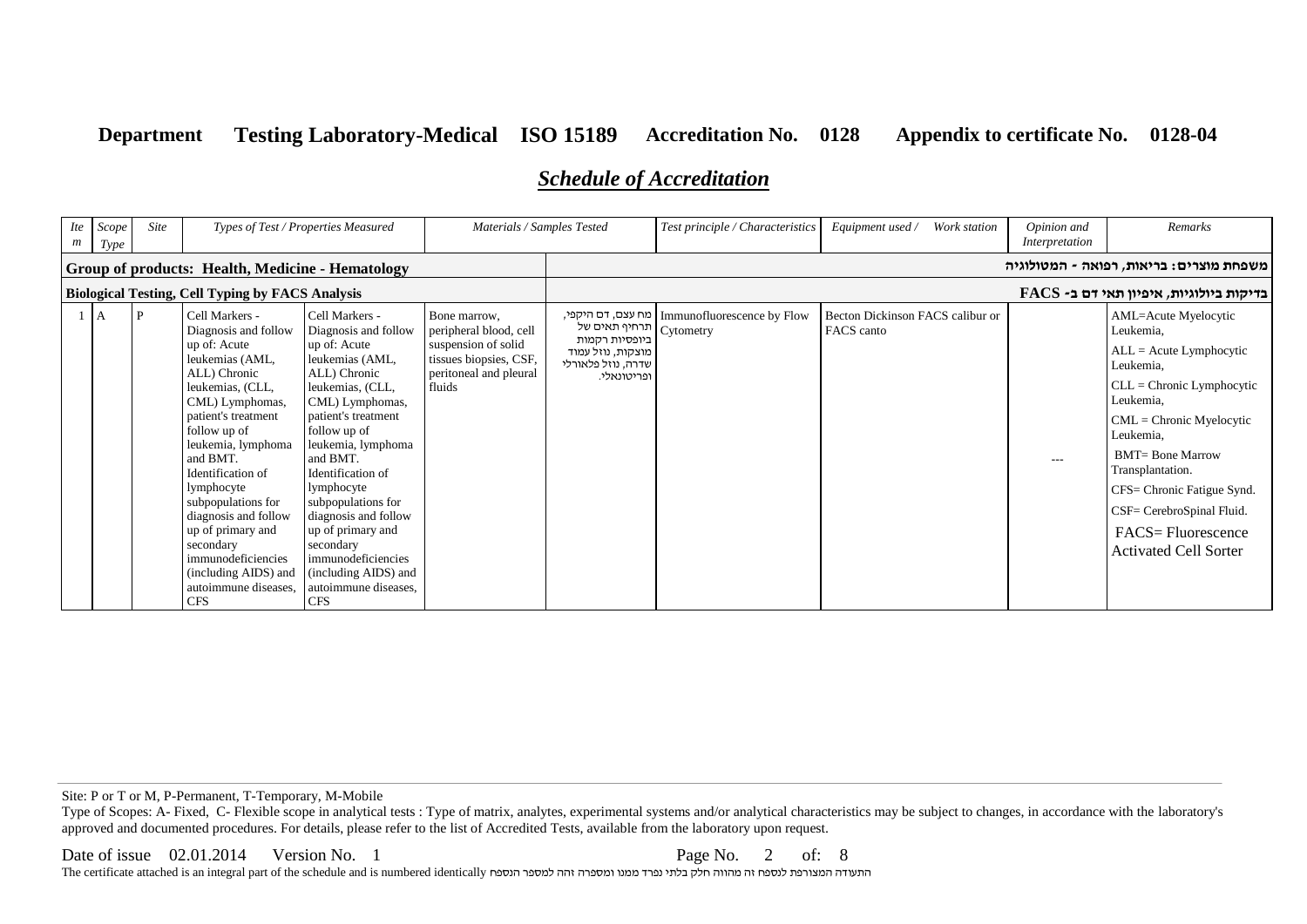# *Schedule of Accreditation*

| $\textit{Ite}$<br>$\mathfrak{m}$                 | Scope<br>Type  | Site         | Types of Test / Properties Measured                                                                                                                                                                                                                                                                                                                                                                              |                                                                                                                                                                                                                                                                                                                                                                                                                  | Materials / Samples Tested                                                                                                  |                                                                                           | Test principle / Characteristics               | Equipment used /<br>Work station               | Opinion and<br>Interpretation | Remarks                                                                                                                                                                                                                                                                                                                           |  |  |
|--------------------------------------------------|----------------|--------------|------------------------------------------------------------------------------------------------------------------------------------------------------------------------------------------------------------------------------------------------------------------------------------------------------------------------------------------------------------------------------------------------------------------|------------------------------------------------------------------------------------------------------------------------------------------------------------------------------------------------------------------------------------------------------------------------------------------------------------------------------------------------------------------------------------------------------------------|-----------------------------------------------------------------------------------------------------------------------------|-------------------------------------------------------------------------------------------|------------------------------------------------|------------------------------------------------|-------------------------------|-----------------------------------------------------------------------------------------------------------------------------------------------------------------------------------------------------------------------------------------------------------------------------------------------------------------------------------|--|--|
| Group of products: Health, Medicine - Hematology |                |              |                                                                                                                                                                                                                                                                                                                                                                                                                  |                                                                                                                                                                                                                                                                                                                                                                                                                  |                                                                                                                             |                                                                                           |                                                |                                                |                               | משפחת מוצרים: בריאות, רפואה - המטולוגיה                                                                                                                                                                                                                                                                                           |  |  |
|                                                  |                |              | <b>Biological Testing, Cell Typing by FACS Analysis</b>                                                                                                                                                                                                                                                                                                                                                          |                                                                                                                                                                                                                                                                                                                                                                                                                  |                                                                                                                             |                                                                                           | EACS -בדיקות ביולוגיות, איפיון תאי דם ב-       |                                                |                               |                                                                                                                                                                                                                                                                                                                                   |  |  |
|                                                  | $\overline{A}$ | $\mathbf{P}$ | Cell Markers -<br>Diagnosis and follow<br>up of: Acute<br>leukemias (AML,<br>ALL) Chronic<br>leukemias, (CLL,<br>CML) Lymphomas,<br>patient's treatment<br>follow up of<br>leukemia, lymphoma<br>and BMT.<br>Identification of<br>lymphocyte<br>subpopulations for<br>diagnosis and follow<br>up of primary and<br>secondary<br>immunodeficiencies<br>(including AIDS) and<br>autoimmune diseases.<br><b>CFS</b> | Cell Markers -<br>Diagnosis and follow<br>up of: Acute<br>leukemias (AML,<br>ALL) Chronic<br>leukemias, (CLL,<br>CML) Lymphomas,<br>patient's treatment<br>follow up of<br>leukemia, lymphoma<br>and BMT.<br>Identification of<br>lymphocyte<br>subpopulations for<br>diagnosis and follow<br>up of primary and<br>secondary<br>immunodeficiencies<br>(including AIDS) and<br>autoimmune diseases.<br><b>CFS</b> | Bone marrow.<br>peripheral blood, cell<br>suspension of solid<br>tissues biopsies, CSF,<br>peritoneal and pleural<br>fluids | תרחיף תאים של<br>ביופסיות רקמות<br>מוצקות, נוזל עמוד<br>שדרה, נוזל פלאורלי<br>ופריטונאלי. | Immunofluorescence by Flow   מח עצם, דם היקפי, | Becton Dickinson FACS calibur or<br>FACS canto | $  -$                         | AML=Acute Myelocytic<br>Leukemia,<br>$ALL = Acute Lymphocytic$<br>Leukemia.<br>$CLL =$ Chronic Lymphocytic<br>Leukemia,<br>$CML =$ Chronic Myelocytic<br>Leukemia,<br><b>BMT= Bone Marrow</b><br>Transplantation.<br>CFS= Chronic Fatigue Synd.<br>CSF= CerebroSpinal Fluid.<br>FACS=Fluorescence<br><b>Activated Cell Sorter</b> |  |  |

Site: P or T or M, P-Permanent, T-Temporary, M-Mobile

Type of Scopes: A- Fixed, C- Flexible scope in analytical tests : Type of matrix, analytes, experimental systems and/or analytical characteristics may be subject to changes, in accordance with the laboratory's approved and documented procedures. For details, please refer to the list of Accredited Tests, available from the laboratory upon request.

Date of issue 02.01.2014 Version No. 1 Page No. 2 of: 8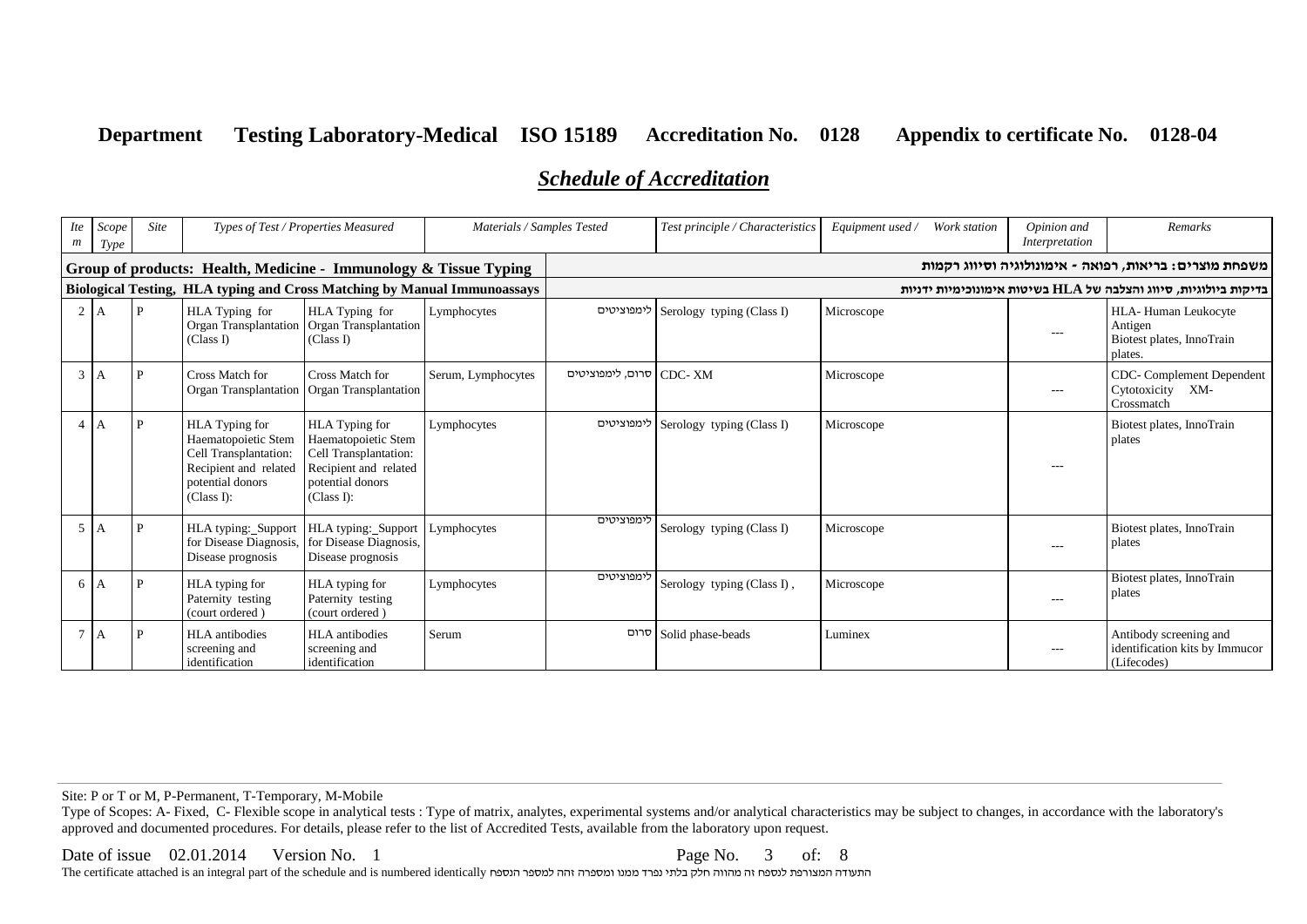# *Schedule of Accreditation*

| m              | Ite Scope<br>Type | Site | Types of Test / Properties Measured                                                                                       |                                                                                                                                  | Materials / Samples Tested |                          | Test principle / Characteristics | Equipment used / | Work station | Opinion and<br>Interpretation | Remarks                                                                 |
|----------------|-------------------|------|---------------------------------------------------------------------------------------------------------------------------|----------------------------------------------------------------------------------------------------------------------------------|----------------------------|--------------------------|----------------------------------|------------------|--------------|-------------------------------|-------------------------------------------------------------------------|
|                |                   |      | Group of products: Health, Medicine - Immunology & Tissue Typing                                                          |                                                                                                                                  |                            |                          |                                  |                  |              |                               | משפחת מוצרים: בריאות, רפואה - אימונולוגיה וסיווג רקמות                  |
|                |                   |      | <b>Biological Testing, HLA typing and Cross Matching by Manual Immunoassays</b>                                           |                                                                                                                                  |                            |                          |                                  |                  |              |                               | בדיקות ביולוגיות, סיווג והצלבה של HLA בשיטות אימונוכימיות ידניות        |
|                | A                 | P    | HLA Typing for<br>(Class I)                                                                                               | HLA Typing for<br>Organ Transplantation   Organ Transplantation<br>(Class I)                                                     | Lymphocytes                | לימפוציטים               | Serology typing (Class I)        | Microscope       |              | $---$                         | HLA-Human Leukocyte<br>Antigen<br>Biotest plates, InnoTrain<br>plates.  |
| 3 <sup>7</sup> | A                 | P    | Cross Match for<br>Organ Transplantation                                                                                  | Cross Match for<br>Organ Transplantation                                                                                         | Serum, Lymphocytes         | CDC- XM סרום, לימפוציטים |                                  | Microscope       |              | $---$                         | CDC-Complement Dependent<br>Cytotoxicity XM-<br>Crossmatch              |
|                | А                 |      | HLA Typing for<br>Haematopoietic Stem<br>Cell Transplantation:<br>Recipient and related<br>potential donors<br>(Class I): | <b>HLA</b> Typing for<br>Haematopoietic Stem<br>Cell Transplantation:<br>Recipient and related<br>potential donors<br>(Class I): | Lymphocytes                | לימפוציטים               | Serology typing (Class I)        | Microscope       |              | ---                           | Biotest plates, InnoTrain<br>plates                                     |
| 5 <sup>1</sup> | A                 | P    | HLA typing:_Support<br>for Disease Diagnosis,<br>Disease prognosis                                                        | HLA typing: Support<br>for Disease Diagnosis,<br>Disease prognosis                                                               | Lymphocytes                | לימפוציטים               | Serology typing (Class I)        | Microscope       |              | ---                           | Biotest plates, InnoTrain<br>plates                                     |
| 6              | A                 | P    | HLA typing for<br>Paternity testing<br>(court ordered)                                                                    | HLA typing for<br>Paternity testing<br>(court ordered)                                                                           | Lymphocytes                | לימפוציטים               | Serology typing (Class I),       | Microscope       |              | $---$                         | Biotest plates, InnoTrain<br>plates                                     |
|                | A                 | P    | <b>HLA</b> antibodies<br>screening and<br>identification                                                                  | <b>HLA</b> antibodies<br>screening and<br>identification                                                                         | Serum                      | סרום                     | Solid phase-beads                | Luminex          |              |                               | Antibody screening and<br>identification kits by Immucor<br>(Lifecodes) |

Site: P or T or M, P-Permanent, T-Temporary, M-Mobile

Type of Scopes: A- Fixed, C- Flexible scope in analytical tests : Type of matrix, analytes, experimental systems and/or analytical characteristics may be subject to changes, in accordance with the laboratory's approved and documented procedures. For details, please refer to the list of Accredited Tests, available from the laboratory upon request.

#### Date of issue 02.01.2014 Version No. 1 Page No. 3 of: 8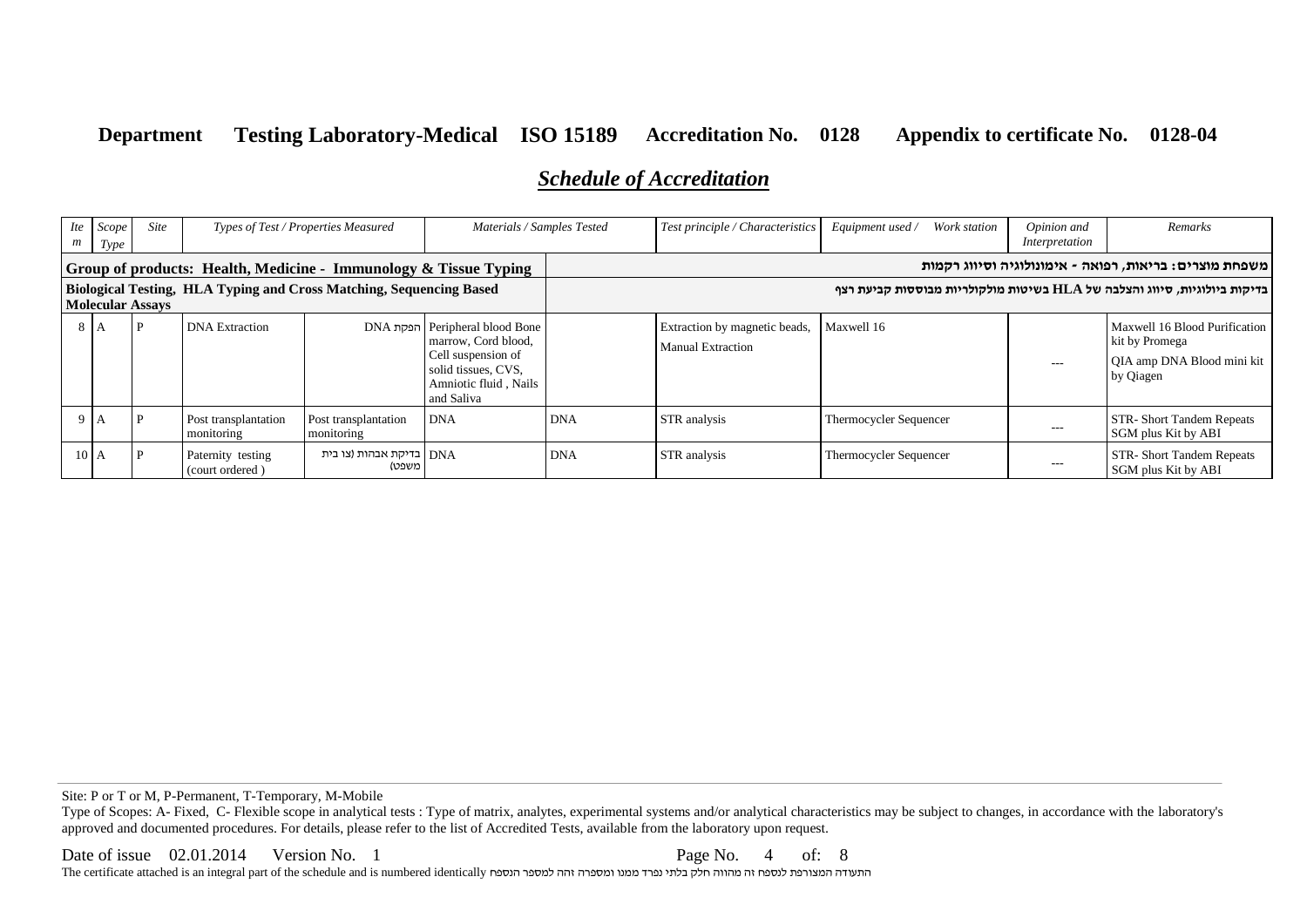# *Schedule of Accreditation*

| $\textit{Ite}$<br>m                                                                            | Scope<br>Type     | Site | Types of Test / Properties Measured  |                                                                  | Materials / Samples Tested                                                                                                       |            | Test principle / Characteristics                          | Equipment used /<br>Work station                                          | Opinion and<br>Interpretation | Remarks                                                                                    |
|------------------------------------------------------------------------------------------------|-------------------|------|--------------------------------------|------------------------------------------------------------------|----------------------------------------------------------------------------------------------------------------------------------|------------|-----------------------------------------------------------|---------------------------------------------------------------------------|-------------------------------|--------------------------------------------------------------------------------------------|
|                                                                                                |                   |      |                                      | Group of products: Health, Medicine - Immunology & Tissue Typing |                                                                                                                                  |            |                                                           |                                                                           |                               | משפחת מוצרים: בריאות, רפואה - אימונולוגיה וסיווג רקמות                                     |
| Biological Testing, HLA Typing and Cross Matching, Sequencing Based<br><b>Molecular Assays</b> |                   |      |                                      |                                                                  |                                                                                                                                  |            |                                                           | בדיקות ביולוגיות, סיווג והצלבה של HLA בשיטות מולקולריות מבוססות קביעת רצף |                               |                                                                                            |
|                                                                                                | 8 I A             |      | <b>DNA</b> Extraction                |                                                                  | Peripheral blood Bone<br>marrow, Cord blood,<br>Cell suspension of<br>solid tissues, CVS,<br>Amniotic fluid, Nails<br>and Saliva |            | Extraction by magnetic beads,<br><b>Manual Extraction</b> | Maxwell 16                                                                | $\qquad \qquad -$             | Maxwell 16 Blood Purification<br>kit by Promega<br>QIA amp DNA Blood mini kit<br>by Qiagen |
|                                                                                                | ΙA.               |      | Post transplantation<br>monitoring   | Post transplantation<br>monitoring                               | <b>DNA</b>                                                                                                                       | <b>DNA</b> | STR analysis                                              | Thermocycler Sequencer                                                    | $---$                         | STR-Short Tandem Repeats<br>SGM plus Kit by ABI                                            |
|                                                                                                | 10 <sup>7</sup> A |      | Paternity testing<br>(court ordered) | DNA   בדיקת אבהות (צו בית<br>משפט)                               |                                                                                                                                  | <b>DNA</b> | STR analysis                                              | Thermocycler Sequencer                                                    | ---                           | STR-Short Tandem Repeats<br>SGM plus Kit by ABI                                            |

Site: P or T or M, P-Permanent, T-Temporary, M-Mobile

Type of Scopes: A- Fixed, C- Flexible scope in analytical tests : Type of matrix, analytes, experimental systems and/or analytical characteristics may be subject to changes, in accordance with the laboratory's approved and documented procedures. For details, please refer to the list of Accredited Tests, available from the laboratory upon request.

Date of issue 02.01.2014 Version No. 1 Page No. 4 of: 8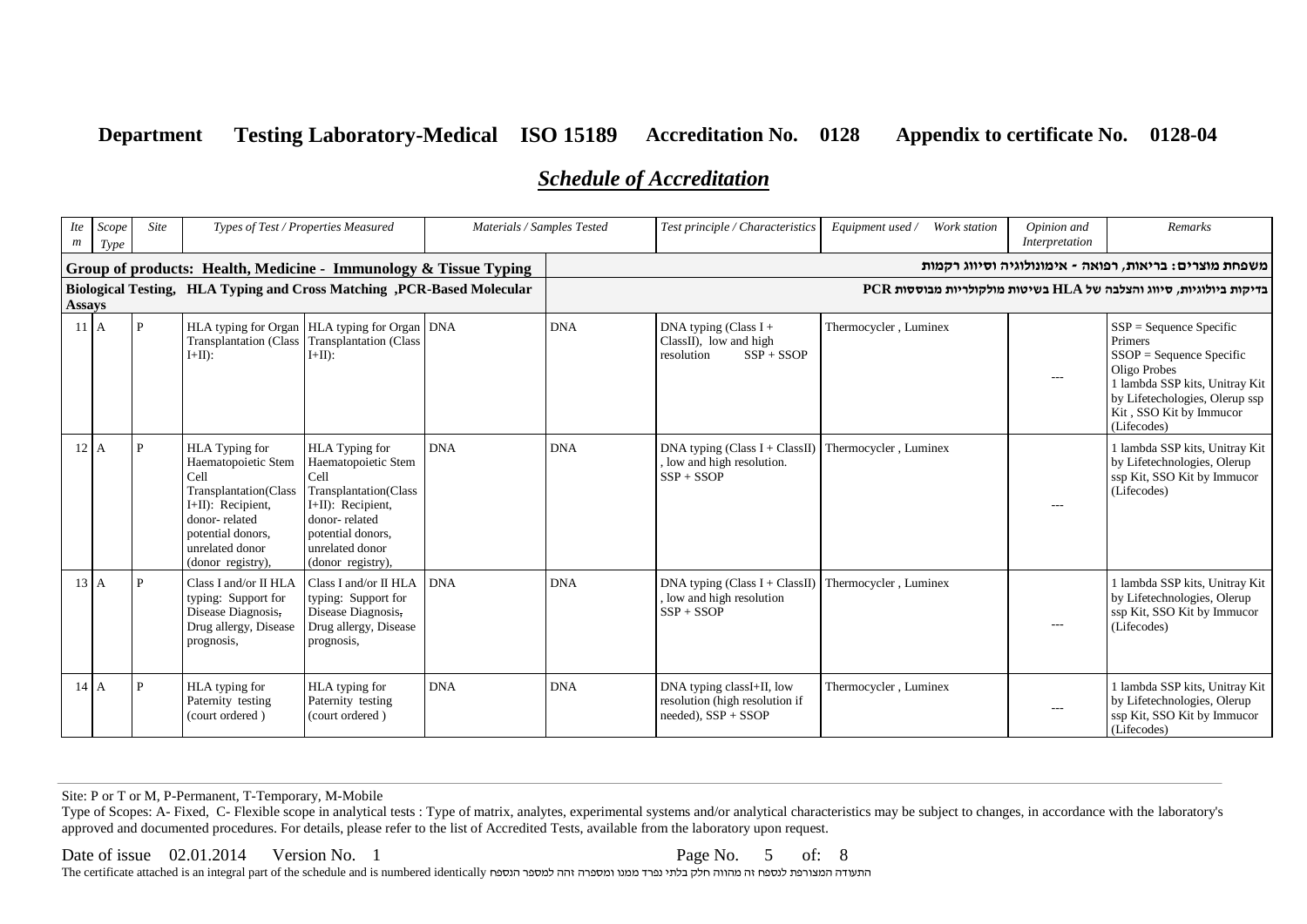# *Schedule of Accreditation*

| <i>Ite</i><br>m | Scope<br>Type   | Site | Types of Test / Properties Measured<br>Materials / Samples Tested                                                                                                                |                                                                                                                                                                                  |            | Test principle / Characteristics | Equipment used / Work station                                                           | Opinion and<br>Interpretation | Remarks |                                                                                                                                                                                                  |
|-----------------|-----------------|------|----------------------------------------------------------------------------------------------------------------------------------------------------------------------------------|----------------------------------------------------------------------------------------------------------------------------------------------------------------------------------|------------|----------------------------------|-----------------------------------------------------------------------------------------|-------------------------------|---------|--------------------------------------------------------------------------------------------------------------------------------------------------------------------------------------------------|
|                 |                 |      |                                                                                                                                                                                  | Group of products: Health, Medicine - Immunology & Tissue Typing                                                                                                                 |            |                                  |                                                                                         |                               |         | משפחת מוצרים: בריאות, רפואה - אימונולוגיה וסיווג רקמות                                                                                                                                           |
| <b>Assays</b>   |                 |      |                                                                                                                                                                                  | Biological Testing, HLA Typing and Cross Matching, PCR-Based Molecular                                                                                                           |            |                                  |                                                                                         |                               |         | בדיקות ביולוגיות, סיווג והצלבה של HLA בשיטות מולקולריות מבוססות PCR                                                                                                                              |
|                 | 11 <sub>A</sub> | P    | $I+II$ :                                                                                                                                                                         | HLA typing for Organ   HLA typing for Organ   DNA<br>Transplantation (Class Transplantation (Class<br>$I+II$ :                                                                   |            | <b>DNA</b>                       | DNA typing (Class $I +$<br>$Class II$ , low and high<br>$SSP + SSOP$<br>resolution      | Thermocycler, Luminex         | $---$   | $SSP = Sequence Specific$<br>Primers<br>$SSOP = Sequence Specific$<br>Oligo Probes<br>1 lambda SSP kits, Unitray Kit<br>by Lifetechologies, Olerup ssp<br>Kit, SSO Kit by Immucor<br>(Lifecodes) |
| 12              | l A             | Þ    | <b>HLA</b> Typing for<br>Haematopoietic Stem<br>Cell<br>Transplantation(Class<br>I+II): Recipient,<br>donor-related<br>potential donors.<br>unrelated donor<br>(donor registry), | <b>HLA</b> Typing for<br>Haematopoietic Stem<br>Cell<br>Transplantation(Class<br>I+II): Recipient,<br>donor-related<br>potential donors,<br>unrelated donor<br>(donor registry), | <b>DNA</b> | <b>DNA</b>                       | DNA typing (Class $I + Class II$ )<br>, low and high resolution.<br>$SSP + SSOP$        | Thermocycler, Luminex         | $---$   | 1 lambda SSP kits, Unitray Kit<br>by Lifetechnologies, Olerup<br>ssp Kit, SSO Kit by Immucor<br>(Lifecodes)                                                                                      |
|                 | $13 \text{ A}$  | P    | Class I and/or II HLA<br>typing: Support for<br>Disease Diagnosis,<br>Drug allergy, Disease<br>prognosis,                                                                        | Class I and/or II HLA<br>typing: Support for<br>Disease Diagnosis,<br>Drug allergy, Disease<br>prognosis,                                                                        | <b>DNA</b> | <b>DNA</b>                       | DNA typing (Class $I + Class II$ )<br>, low and high resolution<br>$SSP + SSOP$         | Thermocycler, Luminex         | $---$   | 1 lambda SSP kits, Unitray Kit<br>by Lifetechnologies, Olerup<br>ssp Kit, SSO Kit by Immucor<br>(Lifecodes)                                                                                      |
|                 | $14 \, A$       | P    | HLA typing for<br>Paternity testing<br>(court ordered)                                                                                                                           | HLA typing for<br>Paternity testing<br>(court ordered)                                                                                                                           | <b>DNA</b> | <b>DNA</b>                       | DNA typing classI+II, low<br>resolution (high resolution if<br>$needed)$ , $SSP + SSOP$ | Thermocycler, Luminex         | $- - -$ | 1 lambda SSP kits, Unitray Kit<br>by Lifetechnologies, Olerup<br>ssp Kit, SSO Kit by Immucor<br>(Lifecodes)                                                                                      |

Site: P or T or M, P-Permanent, T-Temporary, M-Mobile

Type of Scopes: A- Fixed, C- Flexible scope in analytical tests : Type of matrix, analytes, experimental systems and/or analytical characteristics may be subject to changes, in accordance with the laboratory's approved and documented procedures. For details, please refer to the list of Accredited Tests, available from the laboratory upon request.

Date of issue 02.01.2014 Version No. 1 Page No. 5 of: 8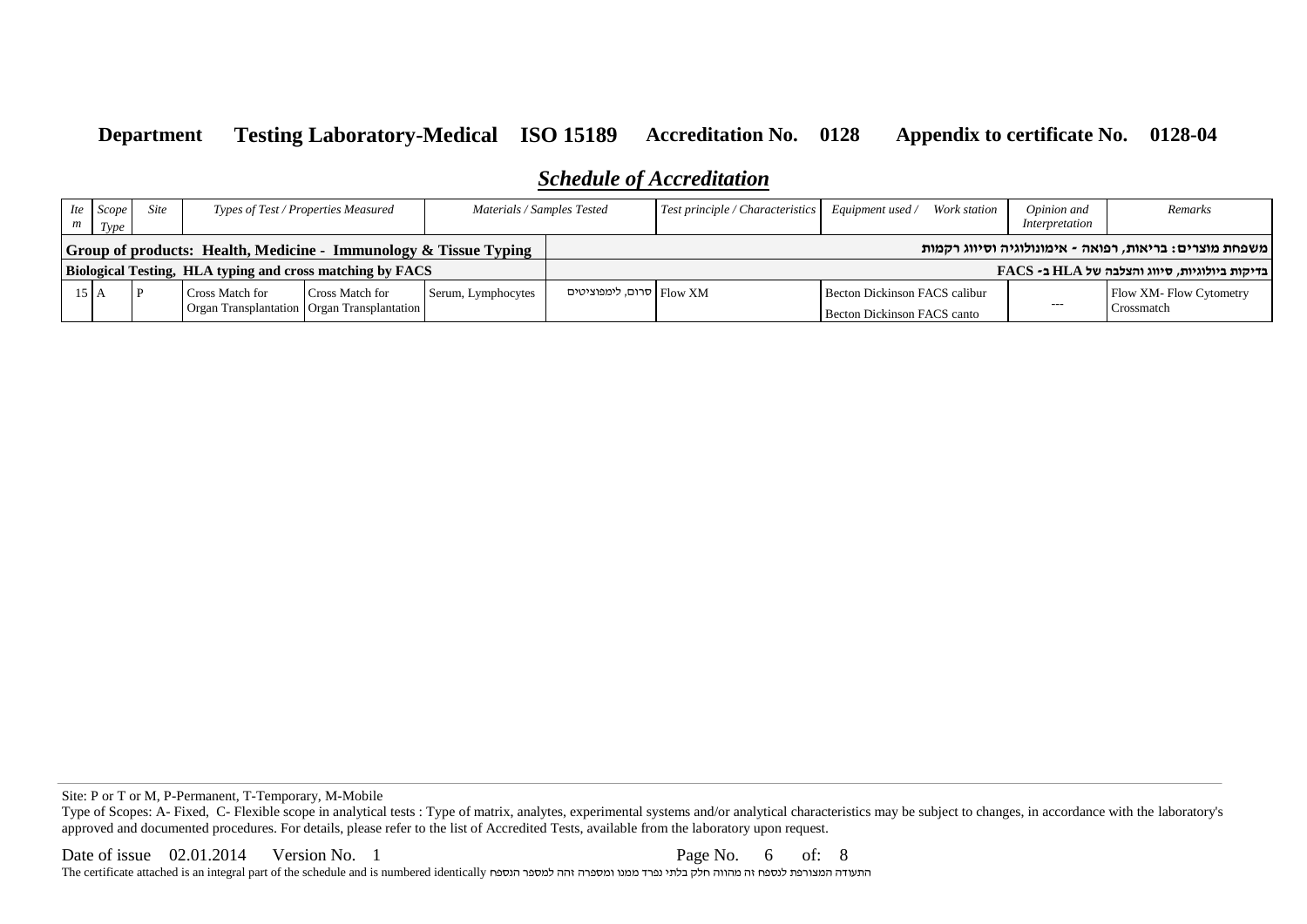# *Schedule of Accreditation*

| Ite                                                                        | Scope<br>Type    | <b>Site</b><br>Materials / Samples Tested<br>Types of Test / Properties Measured |                                                           |                                                                  | $Test principle / Characteristics$ Equipment used / | Work station             | Opinion and<br>Interpretation | Remarks                                                      |       |                                                          |
|----------------------------------------------------------------------------|------------------|----------------------------------------------------------------------------------|-----------------------------------------------------------|------------------------------------------------------------------|-----------------------------------------------------|--------------------------|-------------------------------|--------------------------------------------------------------|-------|----------------------------------------------------------|
| <b>Solution</b> of products: Health, Medicine - Immunology & Tissue Typing |                  |                                                                                  |                                                           |                                                                  |                                                     |                          |                               |                                                              |       | משפחת מוצרים: בריאות, רפואה - אימונולוגיה וסיווג רקמות   |
|                                                                            |                  |                                                                                  | Biological Testing, HLA typing and cross matching by FACS |                                                                  |                                                     |                          |                               |                                                              |       | $\text{FACS}$ - בדיקות ביולוגיות, סיווג והצלבה של HLA ב- |
|                                                                            | $15 \, \text{A}$ |                                                                                  | Cross Match for                                           | Cross Match for<br>Organ Transplantation   Organ Transplantation | Serum, Lymphocytes                                  | סרום, לימפוציטים Flow XM |                               | Becton Dickinson FACS calibur<br>Becton Dickinson FACS canto | $---$ | Flow XM-Flow Cytometry<br>Crossmatch                     |

Site: P or T or M, P-Permanent, T-Temporary, M-Mobile

Type of Scopes: A- Fixed, C- Flexible scope in analytical tests : Type of matrix, analytes, experimental systems and/or analytical characteristics may be subject to changes, in accordance with the laboratory's approved and documented procedures. For details, please refer to the list of Accredited Tests, available from the laboratory upon request.

Date of issue 02.01.2014 Version No. 1 Page No. 6 of: 8 The certificate attached is an integral part of the schedule and is numbered identically הנספח למספר זהה ומספרה ממנו נפרד בלתי חלק מהווה זה לנספח המצורפת התעודה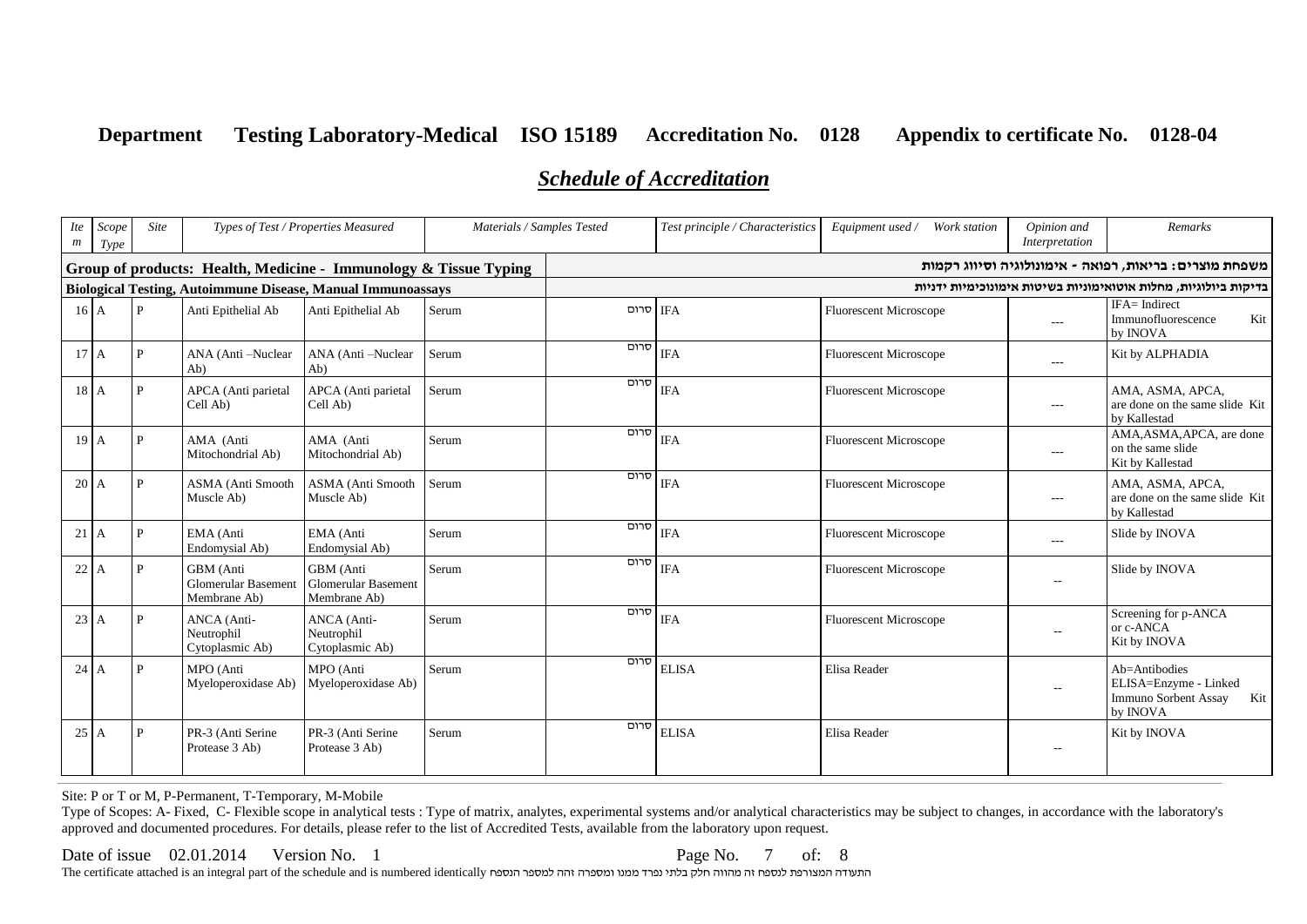# *Schedule of Accreditation*

| <b>Ite</b><br>$\boldsymbol{m}$                                   | Scope<br>Type | Site         | Materials / Samples Tested<br>Types of Test / Properties Measured |                                                                    |       | Test principle / Characteristics | Equipment used / Work station | Opinion and<br>Interpretation | Remarks        |                                                                                   |
|------------------------------------------------------------------|---------------|--------------|-------------------------------------------------------------------|--------------------------------------------------------------------|-------|----------------------------------|-------------------------------|-------------------------------|----------------|-----------------------------------------------------------------------------------|
| Group of products: Health, Medicine - Immunology & Tissue Typing |               |              |                                                                   |                                                                    |       |                                  |                               |                               |                | משפחת מוצרים: בריאות, רפואה - אימונולוגיה וסיווג רקמות                            |
|                                                                  |               |              |                                                                   | <b>Biological Testing, Autoimmune Disease, Manual Immunoassays</b> |       |                                  |                               |                               |                | בדיקות ביולוגיות, מחלות אוטואימוניות בשיטות אימונוכימיות ידניות                   |
| 16A                                                              |               | $\mathbf{P}$ | Anti Epithelial Ab                                                | Anti Epithelial Ab                                                 | Serum | IFA סרום                         |                               | <b>Fluorescent Microscope</b> | $\overline{a}$ | IFA= Indirect<br>Immunofluorescence<br>Kit<br>by INOVA                            |
| 17 <sup>h</sup> A                                                |               | P            | ANA (Anti-Nuclear<br>Ab)                                          | ANA (Anti-Nuclear<br>Ab)                                           | Serum | סרום                             | <b>IFA</b>                    | <b>Fluorescent Microscope</b> | $- - -$        | Kit by ALPHADIA                                                                   |
| $18$ A                                                           |               | P            | APCA (Anti parietal<br>Cell Ab)                                   | APCA (Anti parietal<br>Cell Ab)                                    | Serum | סרום                             | <b>IFA</b>                    | <b>Fluorescent Microscope</b> | ---            | AMA, ASMA, APCA,<br>are done on the same slide Kit<br>by Kallestad                |
| 19 <sup>7</sup> A                                                |               | P            | AMA (Anti<br>Mitochondrial Ab)                                    | AMA (Anti<br>Mitochondrial Ab)                                     | Serum | סרום                             | <b>IFA</b>                    | <b>Fluorescent Microscope</b> | $---$          | AMA, ASMA, APCA, are done<br>on the same slide<br>Kit by Kallestad                |
| $20 \, \text{A}$                                                 |               | P.           | ASMA (Anti Smooth<br>Muscle Ab)                                   | ASMA (Anti Smooth<br>Muscle Ab)                                    | Serum | סרום                             | <b>IFA</b>                    | <b>Fluorescent Microscope</b> | ---            | AMA, ASMA, APCA,<br>are done on the same slide Kit<br>by Kallestad                |
| $21$ A                                                           |               | P            | EMA (Anti<br>Endomysial Ab)                                       | EMA (Anti<br>Endomysial Ab)                                        | Serum | סרום                             | <b>IFA</b>                    | <b>Fluorescent Microscope</b> | $\overline{a}$ | Slide by INOVA                                                                    |
| $22 \, \text{A}$                                                 |               | P            | GBM (Anti<br>Glomerular Basement<br>Membrane Ab)                  | GBM (Anti<br>Glomerular Basement<br>Membrane Ab)                   | Serum | סרום                             | <b>IFA</b>                    | <b>Fluorescent Microscope</b> | $\overline{a}$ | Slide by INOVA                                                                    |
| $23 \text{ A}$                                                   |               | P            | ANCA (Anti-<br>Neutrophil<br>Cytoplasmic Ab)                      | ANCA (Anti-<br>Neutrophil<br>Cytoplasmic Ab)                       | Serum | סרום                             | <b>IFA</b>                    | <b>Fluorescent Microscope</b> | $\sim$         | Screening for p-ANCA<br>or c-ANCA<br>Kit by INOVA                                 |
| $24$ A                                                           |               | P            | MPO (Anti<br>Myeloperoxidase Ab)                                  | MPO (Anti<br>Myeloperoxidase Ab)                                   | Serum | סרום                             | <b>ELISA</b>                  | Elisa Reader                  | $\overline{a}$ | Ab=Antibodies<br>ELISA=Enzyme - Linked<br>Immuno Sorbent Assay<br>Kit<br>by INOVA |
| $25 \, \text{A}$                                                 |               | P            | PR-3 (Anti Serine<br>Protease 3 Ab)                               | PR-3 (Anti Serine<br>Protease 3 Ab)                                | Serum | סרום                             | <b>ELISA</b>                  | Elisa Reader                  | н.             | Kit by INOVA                                                                      |

Site: P or T or M, P-Permanent, T-Temporary, M-Mobile

Type of Scopes: A- Fixed, C- Flexible scope in analytical tests : Type of matrix, analytes, experimental systems and/or analytical characteristics may be subject to changes, in accordance with the laboratory's approved and documented procedures. For details, please refer to the list of Accredited Tests, available from the laboratory upon request.

#### Date of issue 02.01.2014 Version No. 1 Page No. 7 of: 8